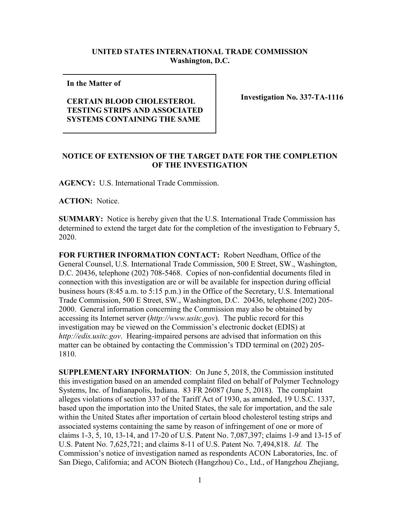## **UNITED STATES INTERNATIONAL TRADE COMMISSION Washington, D.C.**

**In the Matter of** 

## **CERTAIN BLOOD CHOLESTEROL TESTING STRIPS AND ASSOCIATED SYSTEMS CONTAINING THE SAME**

**Investigation No. 337-TA-1116**

## **NOTICE OF EXTENSION OF THE TARGET DATE FOR THE COMPLETION OF THE INVESTIGATION**

**AGENCY:** U.S. International Trade Commission.

**ACTION:** Notice.

**SUMMARY:** Notice is hereby given that the U.S. International Trade Commission has determined to extend the target date for the completion of the investigation to February 5, 2020.

**FOR FURTHER INFORMATION CONTACT:** Robert Needham, Office of the General Counsel, U.S. International Trade Commission, 500 E Street, SW., Washington, D.C. 20436, telephone (202) 708-5468. Copies of non-confidential documents filed in connection with this investigation are or will be available for inspection during official business hours (8:45 a.m. to 5:15 p.m.) in the Office of the Secretary, U.S. International Trade Commission, 500 E Street, SW., Washington, D.C. 20436, telephone (202) 205- 2000. General information concerning the Commission may also be obtained by accessing its Internet server (*http://www.usitc.gov*). The public record for this investigation may be viewed on the Commission's electronic docket (EDIS) at *http://edis.usitc.gov*. Hearing-impaired persons are advised that information on this matter can be obtained by contacting the Commission's TDD terminal on (202) 205- 1810.

**SUPPLEMENTARY INFORMATION**: On June 5, 2018, the Commission instituted this investigation based on an amended complaint filed on behalf of Polymer Technology Systems, Inc. of Indianapolis, Indiana. 83 FR 26087 (June 5, 2018). The complaint alleges violations of section 337 of the Tariff Act of 1930, as amended, 19 U.S.C. 1337, based upon the importation into the United States, the sale for importation, and the sale within the United States after importation of certain blood cholesterol testing strips and associated systems containing the same by reason of infringement of one or more of claims 1-3, 5, 10, 13-14, and 17-20 of U.S. Patent No. 7,087,397; claims 1-9 and 13-15 of U.S. Patent No. 7,625,721; and claims 8-11 of U.S. Patent No. 7,494,818. *Id.* The Commission's notice of investigation named as respondents ACON Laboratories, Inc. of San Diego, California; and ACON Biotech (Hangzhou) Co., Ltd., of Hangzhou Zhejiang,